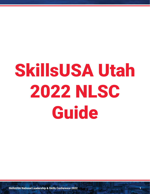# SkillsUSA Utah 2022 NLSC **Guide**

SkillsUSA National Leadership & Skills Conference 2022 1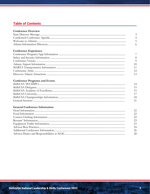# **Table of Contents**

# **Conference Experience**

| - G         |
|-------------|
| $-10$       |
| 11          |
| - 12        |
| $\sqrt{13}$ |

# **Conference Programs and Events**

| -14   |
|-------|
| -15   |
| $-15$ |
| 17    |
| -18   |
| -21   |
|       |

# **General Conference Information**

| 22  |
|-----|
| 22  |
| 22  |
| 23  |
| 23  |
| 24  |
| 26  |
| -28 |
|     |

 $\mathbf{A}$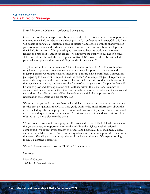Dear Advisors and National Conference Participants,

Congratulations! Your chapter members have worked hard this year to earn an opportunity to attend the SkillsUSA National Leadership & Skills Conference in Atlanta, GA, this June. On behalf of our state association, board of directors and office, I want to thank you for your continued work and dedication as an advisor to ensure our members develop around the SkillsUSA mission of "empowering its members to become world-class workers, leaders and responsible American citizens. We improve the quality of our nation's future skilled workforce through the development of SkillsUSA Framework skills that include personal, workplace and technical skills grounded in academics."

Together, we will have a full week in Atlanta, the new home of NLSC. The conference truly has an opportunity for every member attending, all supported by business and industry partners working to ensure America has a future skilled workforce. Competitors participating in the career competitions of the SkillsUSA Championships will represent our state as the very best in their respective skill areas. Delegates will conduct the business of the organization, making decisions for the future of our organization. Chapter leaders will be able to grow and develop around skills outlined within the SkillsUSA Framework. Advisors will be able to grow their toolbox through professional development sessions and networking. And all attendees will be able to interact with industry professionals representing the careers you are training for.

We know that you and your members will work hard to make our state proud and that we are the best delegation at the NLSC. This guide outlines the initial information about the event, including schedules, program overviews and how to best prepare. Please review and reach out with questions as they come up. Additional information and instructions will be released as we move closer to the event.

We are going to Atlanta for one purpose: To provide the best SkillsUSA Utah students in this great country an opportunity to test their skills at the highest level of national competition. We expect every student to prepare and perform at their maximum ability, and to avoid all distractions. We expect every advisor and guest to support the students in this effort. We will graciously accept the results, whatever they are. We expect nothing more. We demand nothing less!

We look forward to seeing you at NLSC in Atlanta in June!

Sincerely,

Richard Wittwer *SkillsUSA Utah State Director*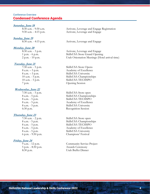# Conference Overview Condensed Conference Agenda

#### **Saturday, June 18**

#### **Sunday, June 19**

#### **Monday, June 20**

#### **Tuesday, June 21**

# *<u>Wednesday, June 22</u>***<br>7:30 a.m. - 5 p.m.**

#### **Thursday, June 23**

#### **Friday, June 24**

8:30 a.m. - 9:30 a.m. Activate, Leverage and Engage Registration 9:30 a.m. - 4:15 p.m. Activate, Leverage and Engage

8:30 a.m. - 4:15 p.m. Activate, Leverage and Engage

8:30 a.m. - 3 p.m. Activate, Leverage and Engage 1 p.m. - 6 p.m. SkillsUSA Store Grand Opening 2 p.m. - 10 p.m. Utah Orientation Meetings (Hotel arrival time)

7:30 a.m. - 5 p.m. SkillsUSA Store Opens 8 a.m. – 5 p.m. Academy of Excellence 8 a.m. – 5 p.m. SkillsUSA University 10 a.m. - 5 p.m. SkillsUSA Championships<br>10 a.m. - 5 p.m. SkillsUSA TECHSPO SkillsUSA TECHSPO 7 p.m. Opening Session

7:30 a.m. - 5 p.m. SkillsUSA Store open SkillsUSA Championships 8 a.m. - 5 p.m. SkillsUSA TECHSPO 8 a.m. - 5 p.m. Academy of Excellence 8 a.m. - 5 p.m. SkillsUSA University 6:30 p.m. Recognition Session

7:30 a.m. - 2 p.m. SkillsUSA Store open 8 a.m. - 5 p.m. SkillsUSA Championships 8 a.m. - 5 p.m. SkillsUSA TECHSPO 8 a.m. - 5 p.m. Academy of Excellence 8 a.m. - 5 p.m. SkillsUSA University 6 p.m. - 9:30 p.m. Champions' Festival

9 a.m. - 12 p.m. Community Service Project 5 p.m. - 8:30 p.m. Awards Ceremony 8:30 p.m. Utah Buffet Dinner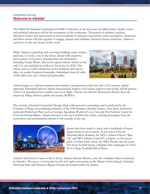# Conference Overview Welcome to Atlanta!

The SkillsUSA National Leadership and Skills Conference is the showcase of skilled trades. Quality career and technical education will be the centerpiece of the conference. Thousands of students, teachers, education leaders and representatives from hundreds of national corporations, trade associations, businesses and labor unions will join together to engage, prepare and celebrate America's future workforce. Atlanta is excited to be the new home of this event.

While Atlanta is sprawling with towering buildings made of glass and steel, it is truly a city in the forest, dotted with expansive green spaces. Everyone is buzzing about the destination, including Lonely Planet. The travel experts named Atlanta as the only U.S. city included in its Best in Travel list for 2022. This urban oasis is a multi-cultural haven for residents and visitors alike, yet exudes Southern hospitality. Individuals from all walks of life add to the city's charm and personality.



Atlanta began as a railroad terminus and remains a transportation hub, but with a 21st-century, global approach. Hartsfield-Jackson Atlanta International Airport is the busiest airport in the world, and 80 percent of the U.S. population lives within a two-hour flight. Visitors can roll into Downtown directly from the airport by riding Atlanta's public rail system, MARTA.

The recently refreshed Centennial Olympic Park is Downtown's centerpiece and is anchored by the Fountain of Rings, an everlasting reminder of the 1996 Summer Olympic Games. Next door, attractions surround Pemberton Place such as Georgia Aquarium, World of Coca-Cola and The National Center for Civil and Human Rights. Atlanta Streetcar is the city's modern-day trolley, carrying passengers from the convention and entertainment district to the eastside of the city.



Sports fans have much to enjoy with a multitude of major league teams to see in action. At the state-of-the-art Mercedes-Benz Stadium, the NFL's Atlanta Falcons "Rise Up" and MLS Atlanta United FC, compete on the soccer pitch. At State Farm Arena, the NBA Hawks take the court. For more football action, collegiate fans congregate at Chickfil-A College Football Hall of Fame.

Atlanta's rich history comes to life in Sweet Auburn Historic District, once the wealthiest black community in America. The area is a focal point for the civil rights movement, as the Martin Luther King Jr. National Historical Park and Ebenezer Baptist Church are located within the district.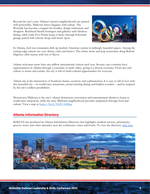Beyond the city's core, Atlanta's intown neighborhoods are packed with personality. Midtown mixes elegance with culture. The Westside has become a magnet for foodies, design enthusiasts and shoppers. Buckhead blends boutiques and galleries with fabulous dining, while Little Five Points keeps it funky through bohemian grunge paired with eclectic shops and music spots.



In Atlanta, chef-run restaurants dish up modern American cuisine in strikingly beautiful spaces. Among the cutting-edge eateries are cozy diners, cafés and bistros. The ethnic mom-and-pop restaurants along Buford Highway offer menus with lots of flavor.

Atlanta welcomes more than one million international visitors each year. Seventy-one countries have representation in Atlanta through a consulate or trade office, giving it a diverse economy. From arts and culture to music and cuisine, the city is full of multi-cultural opportunities for everyone.

Atlanta sits at the intersection of Southern charm, creativity and sophistication. It is easy to fall in love with this beautiful city – its world-class attractions, award-winning dining and hidden wonders – and be inspired by the city's endless possibilities.

Downtown/Midtown is the city's vibrant downtown convention and entertainment district is home to world-class attractions, while the artsy Midtown neighborhood provides inspiration through food and culture. View a map a[t](https://bit.ly/NLSCAtlMap) [https://bit.ly/NLSCAtlMap.](https://bit.ly/NLSCAtlMap)

# Atlanta Information Directory

SkillsUSA has produced an Atlanta Information Directory that highlights medical services, pharmacies, grocery stores and other amenities near the conference venue and hotels. To view the directory [click here.](https://skillsusa.egnyte.com/dl/kKvYnmIDtg)

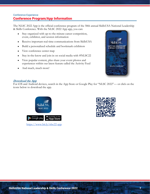# Conference Experience Conference Program/App Information

The NLSC 2022 App is the official conference program of the 58th annual SkillsUSA National Leadership & Skills Conference. With the NLSC 2022 App app, you can:

- Stay organized with up-to-the-minute career competition, event, exhibitor, and session information
- Receive important real-time communications from SkillsUSA
- Build a personalized schedule and bookmark exhibitors
- View conference center map
- Stay in-the-know and join in on social media with #NLSC22
- View popular content, plus share your event photos and experiences within our latest feature called the Activity Feed
- And much, much more!



#### **Download the App**

For iOS and Android devices, search in the App Store or Google Play for "NLSC 2022"— or click on the icons below to download the app.



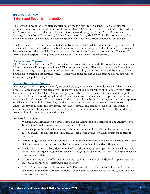# Conference Experience Safety and Security Information

The safety and health of all conference attendees is the top priority of SkillsUSA. While no city can guarantee complete safety at all times for its visitors, SkillsUSA has worked closely with the City of Atlanta, the Atlanta Convention and Visitors Bureau, Georgia World Congress Center Police Department and Security, Atlanta Police Department, Atlanta Ambassador Force, MARTA Police Department as well as other public safety stakeholders and security specialists to ensure the safest experience for attendees.

Unlike our convention centers in Louisville and Kansas City, the GWCC uses a secure badge system for all attendees. No one is allowed into the building without the proper badge and identification. This provides a level of event security that SkillsUSA has not been able to obtain during past conferences. The city of Atlanta also incorporates a high-end surveillance system that is constantly monitored.

#### **Atlanta Police Department**

The Atlanta Police Department (APD) is divided into zones with dedicated officers and a zone commander. Most conference will take place in Zone 5. This zone covers most of Downtown Atlanta and has a long history of working with major events and conferences, including Super Bowl LIII and the Atlanta Pride parade. Each week the department evaluates zone wide crime reports and allocates additional resources to areas needing a public safety focus.

#### **Atlanta Ambassador Program**

Whether you need a helping hand to figure out where to go and what to do in downtown Atlanta, or you need assistance locating a business or your rental vehicle, or you're concerned about a safety issue, Atlanta has you covered with its Atlanta Ambassador program. The city of Atlanta has members of its helpful Ambassador Force stationed throughout the downtown to assure public safety and provide tourists and residents with information. They're the ones in the red and blue uniforms riding Segway human transporters or All-Terrain Public Safety Bikes. Beyond the ambassadors you see on the streets, there are also ambassadors who monitor the downtown surveillance cameras in addition to the police department's monitoring station. During special events, ambassadors communicate with public safety officials directly from the Joint Operations Command Center.

Ambassador Services:

- Welcome and Information Booths: Located at the intersection of Peachtree St. and Andrew Young International Blvd., these are staffed 7:15 a.m.-11:45 p.m.
- Travel Help: Ambassadors know every inch of downtown and can tell you the best route (by foot, car or MARTA) to any location. They can also pre-screen attendee walking routes for conferences and events.
- Activity Suggestions: Whether visitors have an hour, an afternoon or an entire weekend to enjoy the sights and sounds of downtown, ambassadors can recommend the perfect attractions.
- Medical Assistance: Ambassadors are trained to assist in medical emergencies and have direct radio contact with emergency responders. They can also guide people to the nearest 24-hour pharmacy or healthcare provider.
- Maps: Ambassadors can offer one of the most useful tools in any city: a detailed map, marked with major attractions, hotels, restaurants and roadways.
- Safety: Downtown Atlanta is extremely safe. However, should visitors ever feel uncomfortable, they can approach the nearest ambassador who will be happy to escort them to a vehicle, hotel or other downtown destination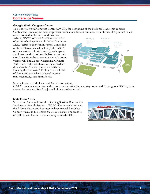# Conference Experience Conference Venues

#### **Georgia World Congress Center**

The Georgia World Congress Center (GWCC), the new home of the National Leadership & Skills Conference, is one of the nation's premier destinations for conventions, trade shows, film production and more. Located in the heart of downtown

Atlanta, GWCC offers 1.5 million square feet of prime exhibit space and is the world's largest LEED certified convention center. Consisting of three interconnected buildings, the GWCC offers a variety of flexible and dynamic spaces and hosts hundreds of world-class events each year. Steps from the convention center's doors, visitors will find 22-acre Centennial Olympic Park, state-of-the-art Mercedes-Benz Stadium (home to the Atlanta Falcons and Atlanta United), the Chick-fil-A College Football Hall of Fame, and the Atlanta Hawks' recently renovated nest, State Farm Arena.



#### Staying Connected (Cellular and Wi-Fi Information)

GWCC contains several free wi-fi areas to ensure attendees can stay connected. Throughout GWCC, there are service boosters for all major cell phone carriers as well.

#### **State Farm Arena**

State Farm Arena will host the Opening Session, Recognition Session and Awards Session of NLSC. The venue is home to the Atlanta Hawks and has recently been named Best New Concert Venue in the United States by Pollstar. The arena is 680,000 square feet and has a capacity of nearly 20,000.

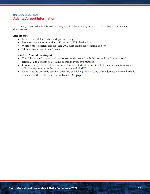# Conference Experience Atlanta Airport Information

Hartsfield-Jackson Atlanta international airport provides nonstop service to more than 150 domestic destinations.

#### **Airport facts**

- More than 2,700 arrivals and departures daily
- Nonstop service to more than 150 domestic U.S. destinations
- World's most efficient airport since 2003 (Air Transport Research Society)
- 10 miles from downtown Atlanta

#### **How to Get Around the Airport**

- The "plane train" connects all concourses underground with the domestic and international terminals and consists of 11 trains operating every two minutes.
- Ground transportation at the domestic terminal starts at the west end of the domestic terminal and offers transportation to the rental car center and MARTA.
- Check out the domestic terminal directory by [clicking here.](https://www.itsmarta.com/uploadedFiles/MARTA_101/Helpful_Articles/DomesticTerminal.pdf) A copy of the domestic terminal map is available on the SkillsUSA Utah website NLSC page.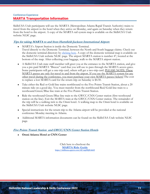# Conference Experience MARTA Transportation Information

SkillsUSA Utah participants will use the MARTA (Metropolitan Atlanta Rapid Transit Authority) trains to travel from the airport to the hotel when they arrive on Monday, and again on Saturday when they return from the hotel to the airport. A copy of the MARTA rail system map is available on the SkillsUSA Utah website NLSC page.

#### **Tips for taking MARTA to and from Hartsfield-Jackson International Airport:**

- MARTA's Airport Station is inside the Domestic Terminal. Travel directly to the Domestic Terminal, between the North and South baggage claims. Check out the domestic terminal directory by [clicking here.](https://www.itsmarta.com/uploadedFiles/MARTA_101/Helpful_Articles/DomesticTerminal.pdf) A copy of the domestic terminal map is available on the SkillsUSA Utah website NLSC page. The airport MARTA station is number 47, located at the bottom of the map. After collecting your baggage, walk to the MARTA airport station.
- A SkillsUSA Utah state staff member will greet you at the entrance to the MARTA station, and give you a pre-paid MARTA "Breeze" card that you will use to pass through the MARTA access gates. Some participants will get a one-trip card, others will get a two-trip card. PLEASE NOTE: These MARTA passes are only for travel to and from the airport. If you use the MARTA system for any other travel during the conference, you must purchase your own MARTA passes/tickets! The cost to replace a lost MARTA card for the return trip on Saturday is \$4.50.
- Take either the Red or Gold line trains northbound to the Five Points Transit Station, about a 20 minute ride on a good day. You must transfer from the northbound Red/Gold line train to a westbound Green/Blue line train at the Five Points Transit Station.
- Ride the westbound Green/Blue line train to the GWCC/CNN Center station (first westbound station on the line). Exit the MARTA train at the GWCC/CNN Center station. The remainder of the trip will be a walking trek to the Omni hotel. A walking map to the Omni hotel is available on the SkillsUSA Utah website NLSC page.
- Special instructions for the return trip to the Atlanta airport will be provided at the national conference Monday meeting in Atlanta.
- Additional MARTA information documents can be found on the SkillsUSA Utah website NLSC page.

#### **Five Points Transit Station and GWCC/CNN Center Station Hotels**

● **Omni Atlanta Hotel at CNN Center**

Click here to checkout the **[MARTA Ride Guide](https://skillsusa.egnyte.com/dl/vnpHQFu0zO) <https://skillsusa.egnyte.com/dl/vnpHQFu0zO>**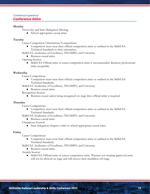# Conference Experience Conference Attire

#### **Monday**

Travel day and State Delegation Meeting

• School appropriate casual attire.

#### **Tuesday**

Career Competition Orientations/Competitions

● Competitors must wear their official competition attire as outlined in the SkillsUSA Technical Standards to their orientation.

SkillsUSA Academies of Excellence, TECHSPO, and University

- Business casual attire.
- Opening Session
	- SkillsUSA Official attire or career competition attire is recommended. Business professional attire acceptable.

#### **Wednesday**

Career Competitions

● Competitors must wear their official competition attire as outlined in the SkillsUSA Technical Standards.

SkillsUSA Academies of Excellence, TECHSPO, and University

- Business casual attire.
- Recognition Session
	- Business casual unless being recognized on stage then official attire is required.

#### **Thursday**

Career Competitions

- Competitors must wear their official competition attire as outlined in the SkillsUSA Technical Standards.
- SkillsUSA Academies of Excellence, TECHSPO, and University
	- Business casual attire.

Champions Festival

● State delegation/chapter t-shirt or school appropriate casual attire.

#### **Friday**

Career Competitions

- Competitors must wear their official competition attire as outlined in the SkillsUSA Technical Standards.
- SkillsUSA Academies of Excellence, TECHSPO, and University
	- Business casual attire.

Awards Session

● SkillsUSA Official attire or career competition attire. Winners not wearing approved attire will not be allowed on stage and will receive their medallion off-stage.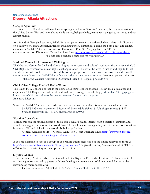# Conference Experience Discover Atlanta Attractions

#### **Georgia Aquarium**

Experience over 11 million gallons of awe-inspiring wonders at Georgia Aquarium, the largest aquarium in the United States. Visit and learn about whale sharks, beluga whales, manta rays, penguins, sea lions, and our newest Sharks!

As a friend of Georgia Aquarium, SkillsUSA is happy to present you with exclusive, online-only discounts on a variety of Georgia Aquarium tickets, including general admission, Behind the Seas Tours and animal encounters. SkillsUSA General Admission Discounted Price \$34.95 (Regular price \$44.95) General Admission Discounted Ticket Purchase Link[:](https://www.georgiaaquarium.org/club-fish/discover-atlanta/) [georgiaaquarium.org/club-fish/discover-atlanta](https://www.georgiaaquarium.org/club-fish/discover-atlanta/) \*Be sure and purchase tickets prior to your arrival.\*

#### **National Center for Human and Civil Rights**

The National Center for Civil and Human Rights is a museum and cultural institution that connects the U.S. Civil Rights Movement to human rights challenges today. The center believes in justice and dignity for all – and the power of people to make this real. It inspires people to tap their own power to change the world around them. Show your SkillsUSA conference badge at the door and receive discounted general admission SkillsUSA General Admission Discounted Price \$14 (Regular price \$19.99)

#### **Chick-Fil-A College Football Hall of Fame**

The Chick-Fil-A College Football is the home of all things college football. Throw, kick a field goal and experience 94,000 square feet of the storied tradition of college football. Enjoy More than 50 engaging and interactive exhibits. A shrine to the greatest to ever play or coach the game. Exclusive Discounts

Show your SkillsUSA conference badge at the door and receive a 20% discount on general admission. SkillsUSA General Admission Discounted Price Adult Ticket - \$19.99 (Regular price \$24.99) Student Ticket with ID - \$16.79 (Regular price \$20.99)

#### **World of Coca-Cola**

Journey through the storied history of the iconic beverage brand, interact with a variety of exhibits, and sample beverages from around the world. Visit The Vault where our legendary secret formula for Coca-Cola is secured. Oh, and chill with the world's bubbliest polar bear.

General Admission[:](https://nam01.safelinks.protection.outlook.com/?url=http%3A%2F%2Fwww.worldofcoca-cola.com%2Fpurchase-tickets%2Fgeneral-admission%2F&data=02%7C01%7Ctvecchio%40coca-cola.com%7C62f4b873f4a54a579aad08d7e2ce60cf%7C548d26ab8caa49e197c2a1b1a06cc39c%7C0%7C0%7C637227248317800362&sdata=GiXs5dqIdWrzHkUJV6RFDqwJZvjXi%2BrYxcKJ4s3YkJ0%3D&reserved=0) \$18 | General Admission Ticket Purchase Link: [http://www.worldofcoca](https://nam01.safelinks.protection.outlook.com/?url=http%3A%2F%2Fwww.worldofcoca-cola.com%2Fpurchase-tickets%2Fgeneral-admission%2F&data=02%7C01%7Ctvecchio%40coca-cola.com%7C62f4b873f4a54a579aad08d7e2ce60cf%7C548d26ab8caa49e197c2a1b1a06cc39c%7C0%7C0%7C637227248317800362&sdata=GiXs5dqIdWrzHkUJV6RFDqwJZvjXi%2BrYxcKJ4s3YkJ0%3D&reserved=0)[cola.com/purchase-tickets/general-admission/](https://nam01.safelinks.protection.outlook.com/?url=http%3A%2F%2Fwww.worldofcoca-cola.com%2Fpurchase-tickets%2Fgeneral-admission%2F&data=02%7C01%7Ctvecchio%40coca-cola.com%7C62f4b873f4a54a579aad08d7e2ce60cf%7C548d26ab8caa49e197c2a1b1a06cc39c%7C0%7C0%7C637227248317800362&sdata=GiXs5dqIdWrzHkUJV6RFDqwJZvjXi%2BrYxcKJ4s3YkJ0%3D&reserved=0)

If you are planning to visit as a group of 15 or more guests please fill out the online reservation form a[t](https://nam01.safelinks.protection.outlook.com/?url=https%3A%2F%2Fwww.worldofcoca-cola.com%2Fform-group-contact%2F&data=02%7C01%7Ctvecchio%40coca-cola.com%7C62f4b873f4a54a579aad08d7e2ce60cf%7C548d26ab8caa49e197c2a1b1a06cc39c%7C0%7C0%7C637227248317800362&sdata=mmzagcI4ZCfCL%2B3NC0%2BCZu%2FwrNWBxw2Oj5o2xoYnKuQ%3D&reserved=0) [https://www.worldofcoca-cola.com/form-group-contact/](https://nam01.safelinks.protection.outlook.com/?url=https%3A%2F%2Fwww.worldofcoca-cola.com%2Fform-group-contact%2F&data=02%7C01%7Ctvecchio%40coca-cola.com%7C62f4b873f4a54a579aad08d7e2ce60cf%7C548d26ab8caa49e197c2a1b1a06cc39c%7C0%7C0%7C637227248317800362&sdata=mmzagcI4ZCfCL%2B3NC0%2BCZu%2FwrNWBxw2Oj5o2xoYnKuQ%3D&reserved=0) or give the Group Sales team a call at 404-676-6074 to discuss availability and set up your reservation.

#### **Skyview Atlanta**

Towering nearly 20 stories above Centennial Park, the SkyView Ferris wheel features 42 climate-controlled + private gondolas providing guests with breathtaking panoramic views of downtown Atlanta and the surrounding metropolitan area.

General Admission: Adult Ticket - \$14.75 | Student Ticket with ID - \$12.75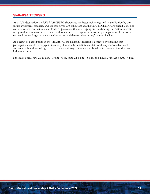# SkillsUSA TECHSPO

As a CTE destination, SkillsUSA TECHSPO showcases the latest technology and its application by our future workforce, teachers, and experts. Over 200 exhibitors at SkillsUSA TECHSPO are placed alongside national career competitions and leadership sessions that are shaping and celebrating our nation's careerready students. Across three exhibition floors, interactive experiences inspire participants while industry connections are forged to enhance classrooms and develop the country's talent pipeline.

As a result of participating in the TECHSPO, the SkillsUSA mission is achieved by ensuring that participants are able to engage in meaningful, mutually beneficial exhibit booth experiences that teach students skills and knowledge related to their industry of interest and build their network of student and industry experts.

Schedule: Tues., June 21 10 a.m. - 5 p.m., Wed., June 22 8 a.m. - 5 p.m. and Thurs., June 23 8 a.m. - 4 p.m.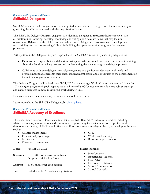## Conference Programs and Events SkillsUSA Delegates

SkillsUSA is a student-led organization, whereby student members are charged with the responsibility of governing the affairs associated with the organization Bylaws.

The SkillsUSA Delegate Program engages state-identified delegates to represent their respective state association in introducing, debating, modifying and voting upon delegate items that may include organization Bylaws, and the SkillsUSA national elections. Delegates receive training to develop their responsibility and decision-making skills while building their peer network throughout the delegate processes.

Participation in the Delegate Program helps achieve the SkillsUSA mission by ensuring delegates can:

- Demonstrate responsibility and decision making to make informed decisions by engaging in training about the decision making process and implementing the steps through the delegate process.
- Collaborate with peer delegates to analyze organizational goals, consider state-level needs and provide input that represents their state's student membership and contributes to the achievement of the national organization mission.

The Delegate Program will be held June 21-24, 2022, at the Georgia World Congress Center in Atlanta. In 2022, delegate programming will replace the usual time of TAG Tuesday to provide more robust training and engage delegates in more meaningful work during NLSC.

Delegates can also be contestants, but schedules should not conflict.

Learn more about the SkillsUSA Delegates, by [clicking here.](https://www.skillsusa.org/events-training/national-leadership-and-skills-conference/delegate-sessions/)

# Conference Programs and Events SkillsUSA Academy of Excellence

The SkillsUSA Academy of Excellence is an initiative that offers NLSC educator attendees including advisors, teachers, administrators and counselors an opportunity for a wide selection of professional development training. SkillsUSA will offer up to 40 sessions over three days to help you develop in the areas such as:

- Chapter management.
- Educational psychology.
- Mentorship.

**Dates:** June 21-23, 2022

● Classroom management.

**Sessions:** Up to 40 sessions to choose from. Drop-in participation format.

Length: 60-90 minute per each session.

Fee: Included in NLSC Advisor registration.

- CTE.
- Work-based learning.
- Resource implementation.

#### **Tracks include:**

- New Teacher.
- Experienced Teacher.
- New Advisor.
- **Experienced Advisor.**
- School Administrator.
- School Counselor.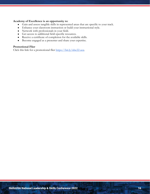#### **Academy of Excellence is an opportunity to:**

- Gain and assess tangible skills in represented areas that are specific to your track.
- Enhance your classroom instruction or build your instructional style.
- Network with professionals in your field.
- Get access to additional field-specific resources.
- Receive a certificate of completion for the available skills.
- Become engaged as a presenter and share your expertise.

#### **Promotional Flier**

Click this link for a promotional flier [https://bit.ly/nlsc22-aoe.](https://bit.ly/nlsc22-aoe)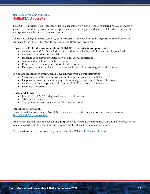# Conference Programs and Events SkillsUSA University

SkillsUSA University is an Academy of Excellence initiative which offers all registered NLSC attendees a chance to learn directly from industry expert practitioners and gain field-specific skills which they can later incorporate into their classroom instruction.

There is no charge to attend sessions, as this program is included in NLSC registration for advisors and students. Check the NLSC App for session dates, times and locations.

#### **If you are a CTE educator or student, SkillsUSA University is an opportunity to:**

- Gain technical skills through direct instruction provided by an industry expert in your field.
- Network with others in your field.
- Enhance your classroom instruction or educational experience.
- Access additional field-specific resources.
- Receive a certificate of competition for the session.
- Participate in lunch and learn opportunities for casual networking within the cluster.

#### **If you are an industry expert, SkillsUSA University is an opportunity to:**

- Share your expertise and network with other professionals in the field.
- Help foster career readiness by way of developing job-specific skills in CTE classrooms.
- Gain experience as a presenter during the SkillsUSA national conference.
- Promote your brand.

#### **Dates and Times**

- June 21-23, 2022 (Tuesday, Wednesday and Thursday)
- 90-minutes per session.
- Two presenters per career cluster (28 presenters total)

#### **Presenter Information**

If you would like to present at SkillsUSA University, access the Request for Proposal application a[t](https://bit.ly/SkillsUSAUProposals22) [bit.ly/SkillsUSAUProposals22.](https://bit.ly/SkillsUSAUProposals22)

All sessions should serve the educational purpose of developing a technical skill and should not focus on the sale of a specific product. A brand and product can be utilized to demonstrate a skill.

For questions or more information, contact Karolina Belen at kbelen@skillsusa.org.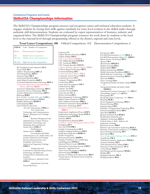## Conference Programs and Events SkillsUSA Championships Information

The SkillsUSA Championships program assesses and recognizes career and technical education students. It engages students by testing their skills against standards for entry-level workers in the skilled trades through authentic skill demonstrations. Students are evaluated by expert representatives of business, industry and organized labor. The SkillsUSA Championships program connects the work done by students at the local level to the national level through programming offered at the district, regional and state levels.

**Total Career Competitions: 108** Official Competitions: 102 Demonstration Competitions: 6

| $\mathbf{COD} \text{-} \#$ | Code - Number of Competitors                                            |
|----------------------------|-------------------------------------------------------------------------|
| Demo                       | Demonstration Competition                                               |
|                            | MS Middle school competition<br>MS only Middle school only competitions |
| HS only                    | High school only competitions                                           |

3D Visualization and Animation **VA-2** Action Skills **AS-1** Additive Manufacturing **AMF -2** Advertising Design **ADV-1** American Spirit **AM-3** Architectural Drafting **AD-1** Audio/Radio Production **RAP-2** Automated Manufacturing Technology **MFG-3** Automobile Maintenance and Light Repair (Demo) (HS only) **MLR-1** Automotive Refinishing Technology **ART-1** Automotive Service Technology **AST-1** Aviation Maintenance Technology **AMT-1** Barbering **BAR-1** Basic Health Care Skills (HS only) **CARE-1** Broadcast News Production **TVN-4** Building Maintenance **BLMT-1** Cabinetmaking **CM-1** Career Pathways Showcase *Arts and Communications:* **CPSA- 3** Arts, Audiovisual Technology and Communications *Business, Management and Technology:*  **CPSB- 3** Business Management and Administration, Finance Services, Information Technology, and Marketing, Sales and Services *Health Services:* **CPSC-3** Health Science *Human Services:* **CPSD- 3** Government and Public Administration; Law, Public Safety and Security; Education and Training Services; Human Services and Hospitality and Tourism *Industrial and Engineering Technology:* **CPSE-3** Architecture and Construction; Manufacturing; Science, Technology and Math and Transportation, Distribution and Logistics *Natural Resources/Agriculture/Food*: **CPSF-3**

> Agricultural, Food and Natural Resources

Carpentry **C-1** Chapter Business Procedure **CBP-6** Chapter Display **DIS-3** CNC 5 Axis (Demo) **CNCX-1** CNC Milling Specialist **CNCM-1** CNC Technician **PMT-1** CNC Turning Specialist **CNCT-1** Collision Damage Appraisal (Demo) **CDA-1** Collision Repair Technology **CRT-1** Commercial Baking **CB-1** Commercial Drone (Demo) **DT-2** Community Action Project **CAP-2** Community Service **CS-3** Computer Programming **CP-1** Cosmetology **CO-1** Crime Scene Investigation **CSI-3** Criminal Justice **CJ-1** Culinary Arts **CA-1** Customer Service **CUS-1** Cyber Security **CY- 2** Dental Assisting **DA-1** Diesel Equipment Technology **DET-1** Digital Cinema Production **VPD-2** Early Childhood Education **PRE-1** Electrical Construction Wiring **ECW-1** Electronics Technology **ET-1** Emergency Medical Technician (Demo) **MMT-1** Employment Application Process **EAP-1** Engineering Technology/Design **ENG-3** Entrepreneurship **ENTR-4** Esthetics **EST-1** Extemporaneous Speaking **ES-1** Facilithon - Facility Management (Demo) FM-1 Firefighting **FF-1** First Aid/CPR **CPR-1** Graphic Communications **GC-1** Graphics Imaging Sublimation **GIS-1** Health Knowledge Bowl **BOWL-4** Health Occupations Professional Portfolio **HOPP-1** Heating, Ventilation, Air Conditioning and Refrigeration **HVAC-1** Industrial Motor Control **MOTR-1** Information Technology Services **CMT-1** Interactive Application and Video Game Development **IAGD-2** Internetworking **WORK-1** Internet Of Things (IOT) Smart Home **RSI-1** *Formerly known as Residential Systems Installation and Maintenance*

Job Interview **JI-1** Job Skill Demonstration A (MS) **JSDA--1** Job Skill Demonstration Open (MS) **JSDO-1** Marine Service Technology **MT-1** Masonry **M-1** Mechatronics **MECH-2** Medical Assisting **MA-1** Medical Math **MM-1** Medical Terminology **MTM-1** Mobile Electronics Installation **MEI-1** Mobile Robotics Technology (MS) **MRT-2** Motorcycle Service Technology **MST-1** Nail Care **NAIL-1** Nurse Assisting **NA-1** Occupational Health and Safety: Single **OHSS-3** Occupational Health and Safety: Multi. **OHSM-3** Opening and Closing Ceremonies (MS) **OCC-7** Outstanding Chapter (MS) **OUT-3** Photography **P-1** Pin Design (State Conference) (MS) **PIN-1** Plumbing **PLB-1** Power Equipment Technology **PET-1** Practical Nursing **PN-1** Prepared Speech **PS-1** Principles of Engineering/Technology **PT-1** Promotional Bulletin Board **BB-3** Quiz Bowl **QUIZ-5** Related Technical Math **RTM-1** Residential Commercial and Appliance Technology **MAT-1** *Formerly known as Major Appliance and Refrigeration Technology* Restaurant Service **FBS-1** Robotics and Automation Technology **RAT-2** Robotics: Urban Search and Rescue (MS)**USR-2** Screen Printing Technology **SP-1** Sheet Metal **SM-1** Team Engineering Challenge (MS only) **ETC-3** TeamWorks **TW-4** Technical Computer Applications **TECH-1** Technical Drafting **TD-1** Telecommunications Cabling **CAB-1** Television (Video) Production **TV-2** T-shirt Design **TSD-1** Web Design and Development **WEB-2** Welding **W-1** Welding Fabrication **WF-3** Welding Sculpture **WS-1**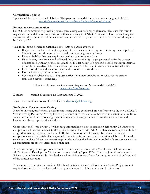#### **Competition Updates**

Updates will be posted to the link below. This page will be updated continuously leading up to NLSC: *[www.skillsusa.org/competitions/skillsusa-championships/contest-updates/](https://www.skillsusa.org/competitions/skillsusa-championships/contest-updates/)*

#### **Request for Accommodation**

SkillsUSA is committed to providing equal access during our national conference. Please use this form to request accommodation or assistance for national contestants at NLSC. Our staff will review each request and contact the requestor if additional information is needed to provide services. Please submit all requests by June 1, 2022.

This form should be used for national contestants or participants who:

- Require the assistance of another person at the orientation meeting and/or during the competition. (Submit this form along with the official contestant registration form.)
- Have a disability that may require adaptations or accommodations.
- Have hearing impairment and will need the support of a sign language specialist for the contest orientation, beginning of the contest and/or the debriefing. If a signer is needed for longer intervals or for the whole day, SkillsUSA will work with state SkillsUSA directors on an individual basis.
- Have food allergies, diabetes or other health concerns or conditions.
- Use a wheelchair, walker or crutches.
- Require a translator due to a language barrier (note: state associations must cover the cost of translation services, if needed).

Fill out the form online Contestant Request for Accommodation (2022): [www.bit.ly/nlsc22-accom](http://www.bit.ly/nlsc22-accom)

Deadline: Submit all requests no later than June 1, 2022.

If you have questions, contact Darren Gibson  $\frac{1}{2}$ skillsusa.org.

#### **Professional Development Testing**

New for this year, professional development testing will be conducted pre-conference via the new SkillsUSA Online Testing Platform. Offering this as a pre-conference test alleviates the test administration duties from state directors while also providing student competitors the opportunity to take the test at a time and location that is most productive for them.

Competitors registered by May 17 will receive information on how to test on or before May 25. Registered competitors will receive an email to the email address affiliated with NLSC conference registration with their assigned username, password, and login URL. In addition to the information being sent directly to competitors, user credentials of all registered competitors from your state association will be emailed to the state director. State Directors are encouraged to disseminate this information to their advisors to ensure that all competitors are able to access their online test.

Please encourage your competitors to take this assessment, as it is worth 2.5% of their total overall score. All Professional Development Tests must be completed by 5 p.m. ET on Tuesday, June 21 to be scored. Failure to complete the test by this deadline will result in a score of zero for that portion (2.5% or 25 points) of the contest scorecard.

As a reminder, contestants in Action Skills, Building Maintenance and Community Action Project are not required to complete the professional development test and will thus not be enrolled in a test.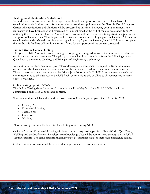#### **Testing for students added/substituted**

No additions or substitutions will be accepted after May 17 and prior to conference. Please have all substitutions and additions ready for your on-site registration appointment at the Georgia World Congress Center. All substitutions and additions will be processed at this time. Following your appointment, any students who have been added will receive an enrollment email at the end of the day on Sunday, June 19 notifying them of their enrollment. Any addition of contestants after your on-site registration appointment and prior to Tuesday, June 21 at 12 p.m. will receive an enrollment email by 2 p.m. on Tuesday. All students substituted or added should complete any assigned tests by 5 p.m. on Tuesday, June 21. Failure to complete the test by this deadline will result in a score of zero for that portion of the contest scorecard.

#### **Limited Online Contest Testing**

This year, SkillsUSA is excited to be running a pilot program designed to assess the feasibility of online, preconference technical assessments. This pilot program will utilize competitors from the following contests: Quiz Bowl, Teamworks, Welding, and Principles of Engineering Technology

In addition to the aforementioned professional development assessment, competitors from these select contests will also have a technical assessment for their contest loaded into their online testing account. These contest tests must be completed by Friday, June 10 to provide SkillsUSA and the national technical committees time to tabulate scores. SkillsUSA will communicate this deadline to all competitors in these contests via email.

#### **Online testing update: 5-13-22**

The Online Testing dates for national competitors will be May 24 – June 21. All PD Tests will be administered online for all applicable contests.

Five competitions will have their written assessment online this year as part of a trial run for 2022.

- Culinary Arts
- Commercial Baking
- TeamWorks
- Quiz Bowl
- Welding

All other competitions will administer their testing onsite during NLSC.

Culinary Arts and Commercial Baking will be on a third-party testing platform. TeamWorks, Quiz Bowl, Welding, and the Professional Development/Knowledge Test will be administered through the SkillsUSA Testing Platform. The same platform that many state associations used for their state conference testing.

Online testing information will be sent to all competitors after registration closes.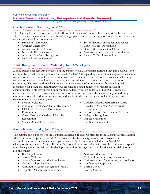# Conference Programs and Events General Sessions (Opening, Recognition and Awards Sessions)

*\*The below session runs-of-show are tentative and subject to change as session schedules are finalized.*

# **Opening Session | Tuesday, June 21st, 7 p.m.**

*SkillsUSA Official attire or career competition attire is recommended. Business professional attire acceptable.* 

The Opening General Session is the kick-off event of the annual National Leadership & Skills Conference. This experience engages attendees with high-energy, participatory and recognition components that set the tone for the week-long conference.

- Parade of Champions
- Opening Ceremony
- Anthem and Color Guard
- National Officer Welcome
- Advisor of the Year Recognition
- National Officer Keynote
- Session Sponsor Introduction/Speaker
- Courtesy Corps Recognition
- State of the Association, Chelle Travis
- National Officer Candidate Introduction
- Pin and T-Shirt Recognition

# **NEW! Recognition Session | Wednesday, June 22nd, 6:30 p.m.**

#### *Business casual unless being recognized on stage then official attire is required.*

During stakeholder research conducted in the Summer of 2020, students indicated they join SkillsUSA for community, growth and recognition. As a result, SkillsUSA is expanding our session lineup to include a new recognition session that will honor and celebrate our chapter and member growth through a high-energy recognition session that will include entertainment and additional experiences to create a sense of community. This new session will showcase the achievements of more members by elevating their recognition on a stage that traditionally only recognized a small number of students outside of championships. This session will honor the skill-building work on all levels of SkillsUSA, engage all conference attendees in recognizing their peers for work accomplished throughout the year and bring closure to a year of hard work and success, and inspire students to apply themselves in growth and development in the upcoming year.

- Session Welcome
- Models of Excellence Chapter Recognition
- CEP Gold Chapter of Distinction Recognition
- Career Essentials Credential Recipient Recognition
- Student2Student Recognition
- National Lifetime Membership Award
- President's Volunteer Service Award Recognition
- Session Sponsor Introduction/Speaker
- Delegate Recognition
- **Impact Recognition**
- Flo Rida, musical artist

#### **Awards Session | Friday, June 24th, 5 p.m.**

*SkillsUSA official attire or career competition attire. Winners not wearing approved attire will not be allowed on stage and will receive their medallion off-stage.*  The culminating experience of the National Leadership & Skills Conference is the Closing/Awards Session which serves to recap the entire NLSC experience. This high-energy session will recognize the accomplishments of the attendees who participated in NLSC activities including the SkillsUSA Championships, National Officer Election Process and more. Attendees will leave the conference inspired to achieve greatness in their own leadership roles within the organization and with a spirit celebration for self and others.

- Red Carpet Event
- **Session Welcome**
- Session Sponsor Introduction/Speaker
- Championships Awards
- Community Service Recognition (NLSC)
- Top MoE Chapter Announcement
- National Education Team/ Technical Committee Appreciation
- National Officer Announcement/Installation
- Conference Recap Video
- Theme Unveil
- Closing Session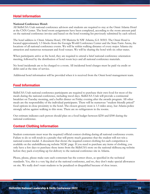# Hotel Information

#### **National Conference Hotel:**

All SkillsUSA Utah national conference advisors and students are required to stay at the Omni Atlanta Hotel at the CNN Center. The hotel room assignments have been completed, according to the room amount paid on the national conference invoice and based on the hotel rooming list previously submitted by each school.

The hotel address is: Omni Atlanta Hotel, 190 Marietta St NW Atlanta, GA 30303. The Omni Hotel is located approximately 1.5 blocks from the Georgia World Conference Center and the State Farm Arena, the locations of all national conference events. We will be within walking distance of every major Atlanta city attraction and numerous restaurant and food venues. We will be sharing the hotel with six other states.

When participants arrive at the hotel, they are required to attend a brief national conference orientation meeting, followed by the distribution of hotel room keys and all national conference materials.

No hotel incidentals are to be charged to a room. All incidental hotel charges must be paid via credit or debit card at the time of service.

Additional hotel information will be provided when it is received from the Omni hotel management team.

# Food Information

SkillsUSA Utah national conference participants are required to purchase their own food for most of the meals during the national conference, including travel days. SkillsUSA Utah will provide a continental breakfast on Tuesday morning, and a buffet dinner on Friday evening after the awards program. All other meals are the responsibility of the individual participants. There will be numerous "student friendly priced" food options in close proximity to the hotel. The closest grocery store is 1.5 miles away, but Atlanta police strongly advise against walking to this store. There are no refrigerators in the rooms.

Our estimate indicates each person should plan on a food budget between \$250 and \$300 during the national conference.

# Contest Clothing Information

Student contestants must wear the required/official contest clothing during all national conference events. Failure to do so will result in a penalty that will pretty much guarantee that the student will not win a national contest medal. A document that shows the required contest clothing for each competition is available on the utahskillsusa.org website NLSC page. If you need to purchase any items of clothing, you only have a few days to purchase these items from the SkillsUSA store on the national skillsusa.org website before they pack everything up for delivery to the national conference site in Atlanta.

Please, please, please make sure each contestant has the correct shoes, as specified in the technical standards. Yes, this is a very big deal at the national conference, and no, they don't make special allowances on site. We really don't want students to be penalized or disqualified because of shoe issues.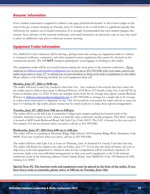# Resume' Information

Every student contestant is required to submit a one-page professional resume' to the contest judges at the start of the pre-contest meeting on Tuesday, June 21. Failure to do so will result is a significant penalty that will knock the student out of medal contention. It is strongly recommended that each student prepare this resume' far in advance of the national conference, and email themselves an electronic copy in case they need to print an additional copy prior to their pre-contest meeting.

# Equipment Trailer Information

Two SkillsUSA Utah volunteers will be driving a pickup truck and towing our equipment trailer to Atlanta to transport toolboxes, computers, and other required contest equipment that cannot be checked on the commercial aircraft. We will **NOT** transport participants' extra luggage or clothing in this trailer.

The equipment trailer will be at several locations during the week prior to the national conference. Please email me at [skillsusa.utahstatedirector@gmail.com](mailto:skillsusa.utahstatedirector@gmail.com) or text me at 435-590-8386 with your name, school and trailer items prior to June  $13<sup>th</sup>$  to inform me of your intention to bring tools and/or equipment to the trailer. Please adhere to the following schedule for tool/equipment drop-off:

#### **Monday, June 13th, 2022 at 10:00 am.**

The trailer will leave Cedar City, headed to Salt Lake City. Any southern Utah schools that have items for the trailer need to deliver their items to Richard Wittwer, 4318 West 1275 South, Cedar City, Utah 84720, by 8 pm on Sunday, June 12, 2022. If there are multiple items from the St. George area, please contact Richard Wittwer at [skillsusa.utahstatedirector@gmail.com](mailto:skillsusa.utahstatedirector@gmail.com) or 435-590-8386 to arrange for a single trip to St. George to collect these items prior to departure on the 13th. If it would be convenient for other schools to meet me near I-15 during the trip north, please contact me by email or phone to make these special arrangements.

#### **Tuesday, June 14th, 2022 from 9:00 am to 6:00 pm:**

The trailer will be at the Salt Lake Community College main campus parking lot located north of the Lifetime Activities Center or LAC, where we held the state conference awards program. This SLCC campus is located at 4600 South Redwood Road, Salt Lake City, Utah, 84123. The LAC is located at the west end of this campus. If I am not present when you arrive, call me at 435-590-8386.

#### **Wednesday, June 15th, 2022 from 8:00 am to 4:00 pm:**

The trailer will be in a parking at Mountain Ridge High School, 14100 Sentinel Ridge Blvd., Herriman, Utah 84096. If no one is present when you arrive, call me at 435-590-8386

The trailer will leave Salt Lake City at 8 am on Thursday, June 16 destined for Vernal, Utah later that day. The trailer will depart for Atlanta very early on Friday, June 17<sup>th</sup>. If you miss the drop-off times, the cost to ship heavy tools and equipment to Atlanta in time for the competitions will be extremely expensive. If necessary, make your own individual arrangements to ship your tools/equipment to the Utah national conference hotel at the following address: Omni Atlanta Hotel, Attn: SkillsUSA Utah, 190 Marietta St NW, Atlanta, GA 30303

#### **Special Note #1: The heaviest tools and equipment must be placed in the front of the trailer. If you have heavy tools or materials, please arrive at 9:00 am on Tuesday, June 14th.**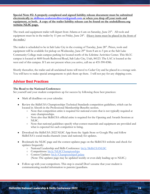**Special Note #2: A properly completed and signed liability release document must be submitted electronically to [skillsusa.utahstatedirector@gmail.com](mailto:skillsusa.utahstatedirector@gmail.com) or when you drop off your tools and equipment, or both. A copy of the trailer liability release can be found on the utahskillsusa.org website NLSC page.**

The truck and equipment trailer will depart from Atlanta at 6 am on Saturday, June 25<sup>th</sup>. All tools and equipment must be in the trailer by 11 pm on Friday, June 24<sup>th</sup>. (Heavy items must be placed in the front of the trailer.)

The trailer is scheduled to be in Salt Lake City in the evening of Tuesday, June 28<sup>th</sup>. Prizes, tools and equipment will be available for pickup on Wednesday, June 29<sup>th</sup> from 8 am to 5 pm at the Salt Lake Community College main campus parking lot located north of the Lifetime Activities Center. This SLCC campus is located at 4600 South Redwood Road, Salt Lake City, Utah, 84123. The LAC is located at the west end of this campus. If I am not present when you arrive, call me at 435-590-8386.

Shortly thereafter, the trailer and all unclaimed items will travel to Cedar City and be placed in a storage unit. You will have to make special arrangements to pick them up there. I will not pay for any shipping costs.

# Advisor Best Practices

#### **The Road to the National Conference:**

Set yourself and your student competitors up for success by following these best practices:

- Mark all deadlines on your calendar.
- Review the SkillsUSA Championships Technical Standards competition guidelines, which can be located in Absorb in the Professional Membership Benefits section.
	- Note that competition attire is required for national events that is not typically required at state championships.
	- Note also that SkillsUSA official attire is required for the Opening and Awards Sessions at NLSC.
	- Note that national guidelines specify what contest materials and equipment are provided and what is expected for each competitor to bring.
- Download the SkillsUSA 2022 NLSC App from the Apple Store or Google Play and follow SkillsUSA's social media channels (state and national) for updates.
- Bookmark the NLSC page and the contest updates page on the SkillsUSA website and check for updates frequently:
	- o National Leadership and Skills Conference: [bit.ly/SkillsUSANLSC](https://bit.ly/SkillsUSANLSC)
	- o Competitions: [bit.ly/NLSCChampionships](https://bit.ly/NLSCChampionships)
	- Contest Updates: [bit.ly/ChampionshipsUpdate](https://bit.ly/ChampionshipsUpdate) (Note: The updates page may be updated weekly or even daily leading up to NLSC.)
- Follow-up with your competitors. This step is crucial! Don't assume that your student is communicating needed information to parents/guardians.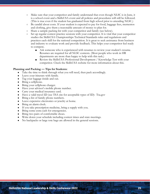- Make sure that your competitor and family understand that even though NLSC is in June, it is a school event and a SkillsUSA event and all policies and procedures will still be followed. (This is true even if the student has graduated from high school prior to attending NLSC.)
- Be candid about costs. If your student is expected to pay for food, baggage fees, mementos and clothing, give them a reasonable amount of money to plan for.
- Share a sample packing list with your competitor and family (see below).
- Set up regular contest practice sessions with your competitor. It is vital that your competitor studies the SkillsUSA Championships Technical Standards rules and regulations and practices each skill for the national competition. It is great to seek assistance from business and industry to evaluate work and provide feedback. This helps your competitor feel ready to compete.
	- Ask someone who is experienced with resumes to review your student's resume. Resumes are required for all NLSC contests. (Most people who work in HR departments are more than happy to help with this task.)
	- Review the SkillsUSA Professional Development / Knowledge Test with your competitor. Check the SkillsUSA website for more information about this.

#### **Planning and Packing — Tips for Students:**

- Take the time to think through what you will need, then pack accordingly.
- Leave your itinerary with family.
- Tag your luggage inside and out.
- Bring a cellphone.
- Bring your cellphone charger.
- Have your advisor's mobile phone number.
- Carry your medical insurance card.
- Have a valid travel ID (see TSA site for acceptable types of ID): Tsa.gov
- Bring a list of family phone numbers.
- Leave expensive electronics or jewelry at home.
- Bring an alarm clock.
- If you take prescription medicine, bring a supply with you.
- Bring some extra cash for emergencies.
- Bring two pairs of comfortable shoes.
- Write down your schedule including contest times and state meetings.
- No backpacks or large tote bags are allowed in the general sessions.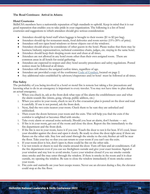#### **The Road Continues: Arrival in Atlanta**

#### **Hotel Courtesies**

SkillsUSA members have a nationwide reputation of high standards to uphold. Keep in mind that it is our good reputation that enables you to take pride in your organization. The following is a list of hotel courtesies and suggestions to which attendees should give serious consideration:

- Attendees should tip hotel staff when luggage is brought to their rooms  $$1$  to \$2 per bag).
- Attendees should tip for restaurant meals, food deliveries and room service (15%-20% of price).
- Attendees will not open hotel windows or throw objects out of the windows.
- Attendees should always be considerate of other guests in the hotel. Please realize that there may be business/industry representatives, technical committee chairs, judges, etc. staying in the same hotel.
- Attendees should keep their sleeping room neat and clean at all times.
- Attendees are not allowed in any hotel room other than their own assigned room. There are common areas in all hotels for social gathering.
- Attendees are expected to respect and obey hotel security procedures and safety regulations. Posted notices must be followed at all times.
- Attendees will observe the assigned curfew times, regardless of age.
- Attendees are provided a copy of the conference [Code of Conduct,](https://www.skillsusa.org/wp-content/uploads/2020/12/SkillsUSA-Conference-Registration-and-Liability-Form.pdf) located on page 2.
- Any additional rules established by advisors/chaperones and/or hotel must be followed at all times.

#### **Fire Safety**

The probability of you being involved in a hotel or motel fire is remote but taking a few precautions and knowing what to do in an emergency is important to every traveler. You may not have time to plan during an actual emergency.

- 1. When you check in, ask at the front desk what type of fire alarm the establishment uses and what the alarm sounds like (sirens, gong, whoop, public address, etc.)
- 2. When you arrive in your room, check to see if a fire evacuation plan is posted on the door and read it carefully. If one is not posted, ask the front desk.
- 3. Next, find the two exits nearest your room. Check them to be sure they are unlocked and unblocked.
- 4. Then count the doors between your room and the exits. This will help you find the exits if the corridor is unlighted or becomes filled with smoke.
- 5. Take every alarm or unusual noise seriously. Should you hear an alarm, don't hesitate act.
- 6. If fire is in your room, get out of the room and close the door. Report the fire immediately to the fire department and the front desk.
- 7. If the fire is not in your room, leave it if you can. Touch the door to test it for heat. If it's cool, brace your shoulder against the door and open it slowly. Be ready to close the door right away if there are flames on the other side. Stay low and crawl through the smoke to the exit; fresher air will be near the floor. Take your key so that you can return to your room if you can't use the exits.
- 8. If your room door is hot, don't open it; there could be fire on the other side.
- 9. Use wet towels or sheets to seal the cracks around the door. Turn off fans and air conditioners. Call the fire department even if you can see firefighters outside and give your exact location. Signal at your window and stay low to avoid smoke. Leave your window closed if you see smoke outside since smoke and fire may enter through the window. If there is smoke in the room and it is clear outside, try opening the window. Be sure to close the window immediately if more smoke enters your room.
- 10. Fire exits and stairwells are your best escape routes. Never use an elevator during a fire; the elevator could stop at the fire floor.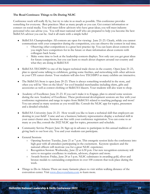#### **The Road Continues: Things to Do During NLSC**

Conference week will really fly by, but try to take in as much as possible. This conference provides something for everyone. Best practices: Meet as many people as you can. Get contact information or connect on social media. You will meet fellow advisors who have great ideas; you will meet industry personnel who can advise you. You will meet national staff who are prepared to help you become the best SkillsUSA advisor you can be. And it all starts with a simple hello!

- SkillsUSA Championships: All contests are open for viewing: June 21-23. Clearly, while you cannot communicate with your competitor during the competition, you can observe the contest in real time.
	- Observing other competitions is a great best practice tip. You can learn about contests that you might have competitors for in the future or share information about contests with colleagues back home.
	- Make some time to look at the leadership contests displays. Not only can you get great ideas for future competitors, but you can learn so much about chapters around our country and what they are doing in SkillsUSA!
- SkillsUSA TECHSPO is one of the largest technical trade shows in the country. Open June 21-23, plan to spend some talking to exhibitors, getting some freebies, and networking with other advisors in your CTE career cluster. Your students will also love TECHSPO as many exhibits are interactive.
- The SkillsUSA Store is open June 20-23. There is always something wonderful in the store, and often you will be "first on the block" for cool branded merchandise including shirts, gifts and accessories as well as contest clothing or SkillsUSA blazers. Your students will also want to shop.
- Academy of Excellence: June 21-23. If you can't make it to Engage, plan to attend some sessions during the new Academy of Excellence. These professional development sessions are free with your conference registration and range in topics from SkillsUSA related to teaching pedagogy and more! You can attend as many sessions as you would like. Consult the NLSC app for topics, presenters and a detailed schedule.
- SkillsUSA University: June 21-23. How would you like to learn a technical skill that employers are desiring in your field? Come and see a business/industry representative display a technical skill in your career cluster area. Sessions are free with your conference registration. You can come to as many as you like; consult the 2022 NLSC app for topics, presenters and schedule.
- Community Service Project: June 24. Sign up in advance to participate in this annual tradition of giving back to our host city. You and your students can participate.
- **General Sessions** 
	- Opening Session: Tuesday, June 21 at 7 p.m. This energetic session kicks the conference into high gear with all attendees participating in the excitement. Keynote speakers and the national officers will motivate you for a great NLSC experience.
	- Recognition Session: Wednesday, June 22 at 6:30 p.m. Our new recognition ceremony will serve to recognize excellence in students, advisors, chapters and more.
	- Awards Session: Friday, June 24 at 5 p.m. NLSC culminates in awarding gold, silver and bronze medals to outstanding competitors in over 100 contests that took place during the week.
- Things to Do in Atlanta: There are many fantastic places to visit within walking distance of the convention center. Visit [www.discoveratlanta.com](http://www.discoveratlanta.com/) to learn more.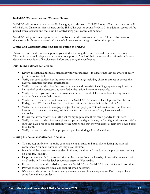#### **SkillsUSA Winners List and Winners Photos**

SkillsUSA will announce winners on Friday night, provide lists to SkillsUSA state offices, and then post a list of SkillsUSA Championships winners on the SkillsUSA website soon after NLSC. In addition, scores will be posted when available and these can be located using your contestant number.

SkillsUSA will post winners photos on the website after the national conference. These high-resolution downloadable photos are taken backstage of all medalists as they go to collect their prizes.

#### **Duties and Responsibilities of Advisors during the NLSC:**

Advisors, it is critical that you supervise your students during the entire national conference experience. Their safety and well being are your number one priority. Much of their success at the national conference depends on your level of involvement before and during the conference.

#### **Prior to the national conference:**

- Review the national technical standards with your student(s) to ensure that they are aware of every possible contest task.
- Verify that each student has the proper contest clothing, including shoes that meet or exceed the national technical standards specifications.
- Verify that each student has the tools, equipment and materials, including any safety equipment to be supplied by the contestant, as specified in the national technical standards.
- Verify that both you and each contestant checks the national SkillsUSA website for any contest updates that apply to their contest.
- Verify that every student contestant takes the SkillsUSA Professional Development Test before Friday, June  $17<sup>th</sup>$ . They will receive login information for this test before the end of May.
- Verify that every student has a paper copy of a one-page professional resume' and that they also have access to an electronic copy of their resume, such as a resume' they have emailed to themselves.
- Ensure that every student has sufficient money to purchase three meals per day for six days.
- Verify that each student has been given a copy of the flight itinerary and all flight information. Make sure they have proper transportation to the airport, and that they will arrive at least two hours before their flight.
- Verify that each student will be properly supervised during all travel activities.

#### **During the national conference in Atlanta:**

- You are responsible to supervise your student at all times and in all places during the national conference. You must know where they are at all times.
- It is critical that you assist your student in finding the time and location of the pre-contest meeting on Tuesday, June 21<sup>st</sup>.
- Help your student find the contest site on the contest floor on Tuesday. Some skills contests begin on Tuesday and most leadership contests begin on Wednesday.
- Ensure that every student abides by national SkillsUSA and SkillsUSA Utah policies and procedures.
- Provide encouragement often, and support when necessary.
- We want students and advisors to enjoy the national conference experience. Find a way to have some fun with your students.